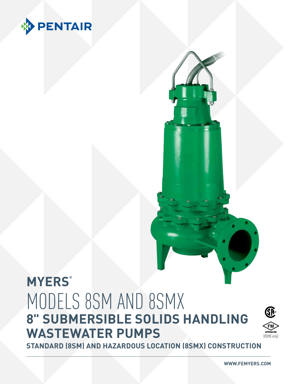

## **MYERS®** MODELS 8SM AND 8SMX **8" SUBMERSIBLE SOLIDS HANDLING WASTEWATER PUMPS**



**Standard (8SM) and Hazardous Location (8SMX) Construction**

**WWW.FEMYERS.COM**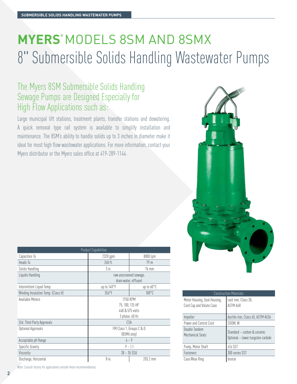## **MYERS®** MODELS 8SM AND 8SMX 8" Submersible Solids Handling Wastewater Pumps

## The Myers 8SM Submersible Solids Handling Sewage Pumps are Designed Especially for High Flow Applications such as:

Large municipal lift stations, treatment plants, transfer stations and dewatering. A quick removal type rail system is available to simplify installation and maintenance. The 8SM's ability to handle solids up to 3 inches in diameter make it ideal for most high flow wastewater applications. For more information, contact your Myers distributor or the Myers sales office at 419-289-1144.

|  |  | ٠ |
|--|--|---|
|  |  |   |

| <b>Product Capabilities</b>        |                          |                        |  |  |  |  |  |  |
|------------------------------------|--------------------------|------------------------|--|--|--|--|--|--|
| Capacities To                      | 2320 gpm                 | 8800 lpm               |  |  |  |  |  |  |
| Heads To                           | 260 ft.                  | 79 <sub>m</sub>        |  |  |  |  |  |  |
| Solids Handling                    | $3$ in.                  | 76 mm                  |  |  |  |  |  |  |
| Liquids Handling                   |                          | raw unscreened sewage, |  |  |  |  |  |  |
|                                    | drain water, effluent    |                        |  |  |  |  |  |  |
| Intermittent Liquid Temp.          | up to 140°F              | up to 60°C             |  |  |  |  |  |  |
| Winding Insulation Temp. (Class H) | $356^{\circ}$ F          | $180^{\circ}$ C        |  |  |  |  |  |  |
| Available Motors                   | <b>1750 RPM</b>          |                        |  |  |  |  |  |  |
|                                    | 75, 100, 125 HP          |                        |  |  |  |  |  |  |
|                                    | 460 & 575 volts          |                        |  |  |  |  |  |  |
|                                    | 3 phase, 60 Hz           |                        |  |  |  |  |  |  |
| Std. Third Party Approvals         | CSA                      |                        |  |  |  |  |  |  |
| Optional Approvals                 | FM Class 1, Groups C & D |                        |  |  |  |  |  |  |
|                                    | (8SMX only)              |                        |  |  |  |  |  |  |
| Acceptable pH Range                | $6 - 9$                  |                        |  |  |  |  |  |  |
| Specific Gravity                   | $.9 - 1.1$               |                        |  |  |  |  |  |  |
| Viscosity                          | $28 - 35$ SSU            |                        |  |  |  |  |  |  |
| Discharge, Horizontal              | 8 in.                    | 203.2 mm               |  |  |  |  |  |  |

Construction Materials Motor Housing, Seal Housing, Cord Cap and Volute Case cast iron, Class 30, ASTM A48 Impeller ductile iron, Class 65, ASTM A536 Power and Control Cord SOOW, W Double Tandem  $\begin{array}{c} \text{Standard} - \text{carbon} \& \text{ceramic} \\ \text{Mechanical Seals} \end{array}$ Optional – lower tungsten carbide Pump, Motor Shaft 416 SST Fasteners 300 series SST Case Wear Ring bronze

Note: Consult factory for applications outside these recommendations.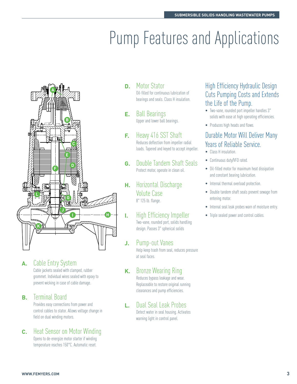# **Pump Features and Applications**



## **A.** Cable Entry System

Cable jackets sealed with clamped, rubber grommet. Individual wires sealed with epoxy to prevent wicking in case of cable damage.

### **B.** Terminal Board

Provides easy connections from power and control cables to stator. Allows voltage change in field on dual winding motors.

## **C.** Heat Sensor on Motor Winding

Opens to de-energize motor starter if winding temperature reaches 150°C. Automatic reset.

## **D.** Motor Stator

Oil-filled for continuous lubrication of bearings and seals. Class H insulation.

#### **E.** Ball Bearings Upper and lower ball bearings.

#### **F.** Heavy 416 SST Shaft Reduces deflection from impeller radial

loads. Tapered and keyed to accept impeller.

**G.** Double Tandem Shaft Seals Protect motor, operate in clean oil.

#### **H.** Horizontal Discharge Volute Case 8" 125 lb. flange.

#### **I.** High Efficiency Impeller Two-vane, rounded port, solids handling design. Passes 3" spherical solids

#### **J.** Pump-out Vanes Help keep trash from seal, reduces pressure at seal faces.

#### **K.** Bronze Wearing Ring

Reduces bypass leakage and wear. Replaceable to restore original running clearances and pump efficiencies.

#### **L.** Dual Seal Leak Probes Detect water in seal housing. Activates warning light in control panel.

### High Efficiency Hydraulic Design Cuts Pumping Costs and Extends the Life of the Pump.

- Two-vane, rounded port impeller handles 3" solids with ease at high operating efficiencies.
- Produces high heads and flows.

## Durable Motor Will Deliver Many Years of Reliable Service.

- Class H insulation.
- Continuous duty/VFD rated.
- Oil-filled motor for maximum heat dissipation and constant bearing lubrication.
- Internal thermal overload protection.
- Double tandem shaft seals prevent sewage from entering motor.
- Internal seal leak probes warn of moisture entry.
- Triple sealed power and control cables.